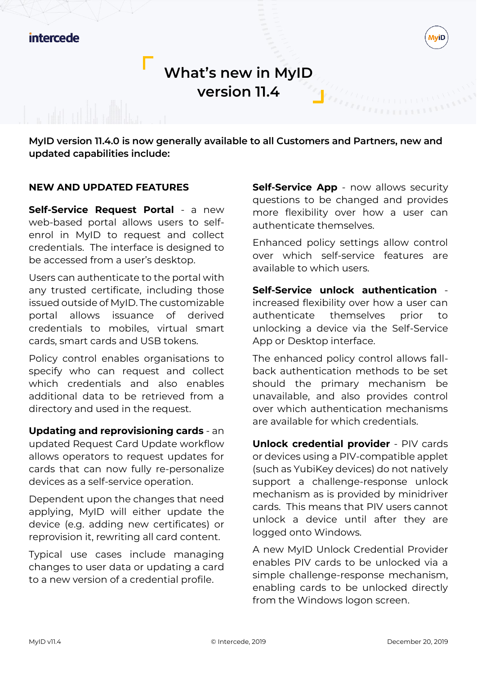

**MyID version 11.4.0 is now generally available to all Customers and Partners, new and updated capabilities include:**

## **NEW AND UPDATED FEATURES**

**Self-Service Request Portal** - a new web-based portal allows users to selfenrol in MyID to request and collect credentials. The interface is designed to be accessed from a user's desktop.

Users can authenticate to the portal with any trusted certificate, including those issued outside of MyID. The customizable portal allows issuance of derived credentials to mobiles, virtual smart cards, smart cards and USB tokens.

Policy control enables organisations to specify who can request and collect which credentials and also enables additional data to be retrieved from a directory and used in the request.

### **Updating and reprovisioning cards** - an

updated Request Card Update workflow allows operators to request updates for cards that can now fully re-personalize devices as a self-service operation.

Dependent upon the changes that need applying, MyID will either update the device (e.g. adding new certificates) or reprovision it, rewriting all card content.

Typical use cases include managing changes to user data or updating a card to a new version of a credential profile.

**Self-Service App** - now allows security questions to be changed and provides more flexibility over how a user can authenticate themselves.

Enhanced policy settings allow control over which self-service features are available to which users.

**Self-Service unlock authentication** increased flexibility over how a user can authenticate themselves prior to unlocking a device via the Self-Service App or Desktop interface.

The enhanced policy control allows fallback authentication methods to be set should the primary mechanism be unavailable, and also provides control over which authentication mechanisms are available for which credentials.

**Unlock credential provider** - PIV cards or devices using a PIV-compatible applet (such as YubiKey devices) do not natively support a challenge-response unlock mechanism as is provided by minidriver cards. This means that PIV users cannot unlock a device until after they are logged onto Windows.

A new MyID Unlock Credential Provider enables PIV cards to be unlocked via a simple challenge-response mechanism, enabling cards to be unlocked directly from the Windows logon screen.